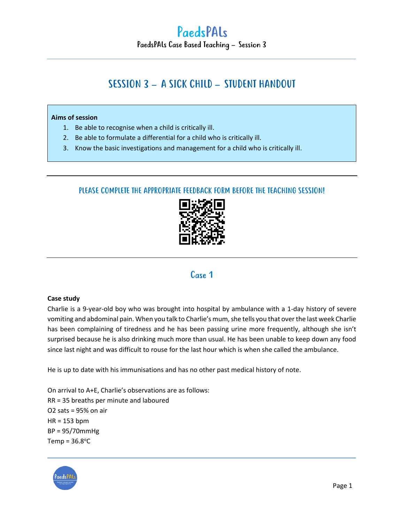## SESSION 3 – A SICK CHILD – STUDENT HANDOUT

#### **Aims of session**

- 1. Be able to recognise when a child is critically ill.
- 2. Be able to formulate a differential for a child who is critically ill.
- 3. Know the basic investigations and management for a child who is critically ill.

### PLEASE COMPLETE THE APPROPRIATE FEEDBACK FORM BEFORE THE TEACHING SESSION!



## Case 1

#### **Case study**

Charlie is a 9-year-old boy who was brought into hospital by ambulance with a 1-day history of severe vomiting and abdominal pain. When you talk to Charlie's mum, she tells you that over the last week Charlie has been complaining of tiredness and he has been passing urine more frequently, although she isn't surprised because he is also drinking much more than usual. He has been unable to keep down any food since last night and was difficult to rouse for the last hour which is when she called the ambulance.

He is up to date with his immunisations and has no other past medical history of note.

On arrival to A+E, Charlie's observations are as follows: RR = 35 breaths per minute and laboured O2 sats = 95% on air HR = 153 bpm BP = 95/70mmHg Temp =  $36.8^{\circ}$ C

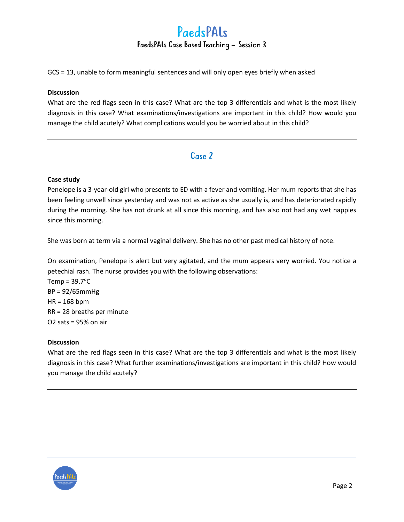GCS = 13, unable to form meaningful sentences and will only open eyes briefly when asked

#### **Discussion**

What are the red flags seen in this case? What are the top 3 differentials and what is the most likely diagnosis in this case? What examinations/investigations are important in this child? How would you manage the child acutely? What complications would you be worried about in this child?

### Case 2

#### **Case study**

Penelope is a 3-year-old girl who presents to ED with a fever and vomiting. Her mum reports that she has been feeling unwell since yesterday and was not as active as she usually is, and has deteriorated rapidly during the morning. She has not drunk at all since this morning, and has also not had any wet nappies since this morning.

She was born at term via a normal vaginal delivery. She has no other past medical history of note.

On examination, Penelope is alert but very agitated, and the mum appears very worried. You notice a petechial rash. The nurse provides you with the following observations:

 $Temp = 39.7$ °C BP = 92/65mmHg HR = 168 bpm RR = 28 breaths per minute O2 sats = 95% on air

#### **Discussion**

What are the red flags seen in this case? What are the top 3 differentials and what is the most likely diagnosis in this case? What further examinations/investigations are important in this child? How would you manage the child acutely?

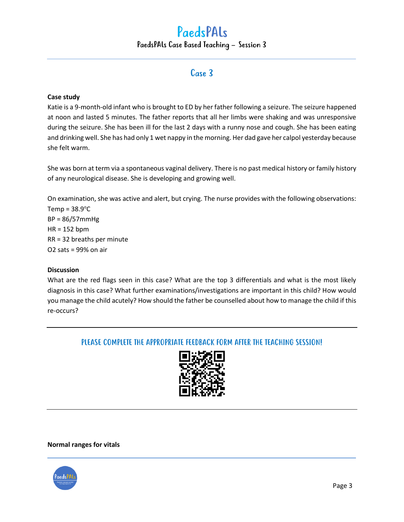## PaedsPALs PaedsPALs Case Based Teaching – Session 3

## Case 3

#### **Case study**

Katie is a 9-month-old infant who is brought to ED by her father following a seizure. The seizure happened at noon and lasted 5 minutes. The father reports that all her limbs were shaking and was unresponsive during the seizure. She has been ill for the last 2 days with a runny nose and cough. She has been eating and drinking well. She has had only 1 wet nappy in the morning. Her dad gave her calpol yesterday because she felt warm.

She was born at term via a spontaneous vaginal delivery. There is no past medical history or family history of any neurological disease. She is developing and growing well.

On examination, she was active and alert, but crying. The nurse provides with the following observations:  $Temp = 38.9^{\circ}C$ BP = 86/57mmHg

HR = 152 bpm RR = 32 breaths per minute O2 sats = 99% on air

#### **Discussion**

What are the red flags seen in this case? What are the top 3 differentials and what is the most likely diagnosis in this case? What further examinations/investigations are important in this child? How would you manage the child acutely? How should the father be counselled about how to manage the child if this re-occurs?

### PLEASE COMPLETE THE APPROPRIATE FEEDBACK FORM AFTER THE TEACHING SESSION!



#### **Normal ranges for vitals**